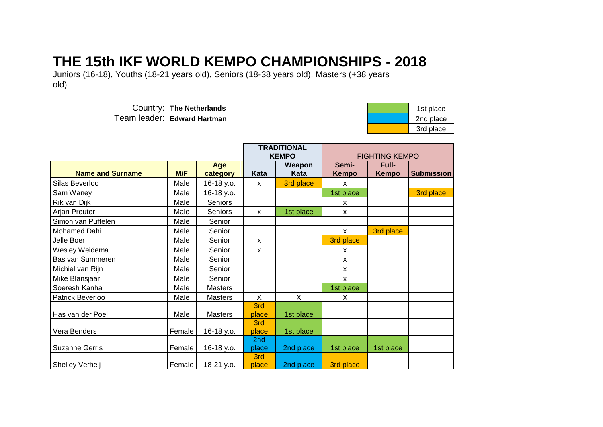## **THE 15th IKF WORLD KEMPO CHAMPIONSHIPS - 2018**

Juniors (16-18), Youths (18-21 years old), Seniors (18-38 years old), Masters (+38 years old)

> Country: The Netherlands Team leader: Edward Hartman

| 1st place |
|-----------|
| 2nd place |
| 3rd place |

|                         |        |                 | <b>TRADITIONAL</b><br><b>KEMPO</b> |                |                       | <b>FIGHTING KEMPO</b> |                   |
|-------------------------|--------|-----------------|------------------------------------|----------------|-----------------------|-----------------------|-------------------|
| <b>Name and Surname</b> | M/F    | Age<br>category | Kata                               | Weapon<br>Kata | Semi-<br><b>Kempo</b> | Full-<br>Kempo        | <b>Submission</b> |
| Silas Beverloo          | Male   | 16-18 y.o.      | X                                  | 3rd place      | $\mathsf{x}$          |                       |                   |
| Sam Waney               | Male   | 16-18 y.o.      |                                    |                | 1st place             |                       | 3rd place         |
| Rik van Dijk            | Male   | Seniors         |                                    |                | X                     |                       |                   |
| Arjan Preuter           | Male   | Seniors         | X                                  | 1st place      | X                     |                       |                   |
| Simon van Puffelen      | Male   | Senior          |                                    |                |                       |                       |                   |
| Mohamed Dahi            | Male   | Senior          |                                    |                | $\mathsf{x}$          | 3rd place             |                   |
| Jelle Boer              | Male   | Senior          | $\mathsf{x}$                       |                | 3rd place             |                       |                   |
| Wesley Weidema          | Male   | Senior          | X                                  |                | X                     |                       |                   |
| Bas van Summeren        | Male   | Senior          |                                    |                | X                     |                       |                   |
| Michiel van Rijn        | Male   | Senior          |                                    |                | X                     |                       |                   |
| Mike Blansjaar          | Male   | Senior          |                                    |                | $\mathsf{x}$          |                       |                   |
| Soeresh Kanhai          | Male   | <b>Masters</b>  |                                    |                | 1st place             |                       |                   |
| Patrick Beverloo        | Male   | <b>Masters</b>  | X                                  | X              | X                     |                       |                   |
| Has van der Poel        | Male   | <b>Masters</b>  | 3rd<br>place                       | 1st place      |                       |                       |                   |
| Vera Benders            | Female | 16-18 y.o.      | 3rd<br>place                       | 1st place      |                       |                       |                   |
| <b>Suzanne Gerris</b>   | Female | 16-18 y.o.      | 2nd<br>place                       | 2nd place      | 1st place             | 1st place             |                   |
| Shelley Verheij         | Female | 18-21 y.o.      | 3rd<br>place                       | 2nd place      | 3rd place             |                       |                   |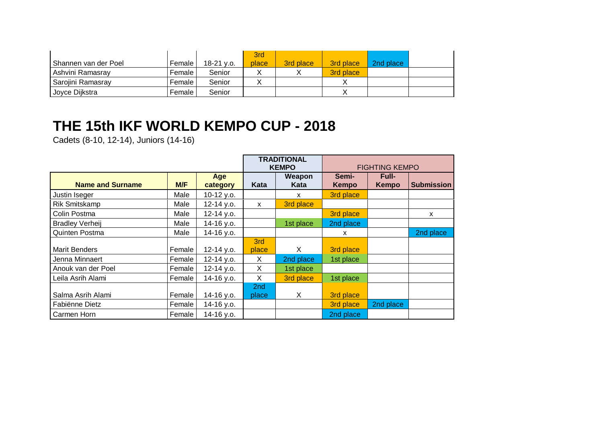| Shannen van der Poel | Female I | $18-21$ v.o. | 3rd<br>place | 3rd place | 3rd place | 2nd place |  |
|----------------------|----------|--------------|--------------|-----------|-----------|-----------|--|
| Ashvini Ramasray     | Female I | Senior       |              |           | 3rd place |           |  |
| Sarojini Ramasray    | Female I | Senior       |              |           |           |           |  |
| Joyce Dijkstra       | Female I | Senior       |              |           |           |           |  |

## **THE 15th IKF WORLD KEMPO CUP - 2018**

Cadets (8-10, 12-14), Juniors (14-16)

|                         |        |                 | <b>TRADITIONAL</b><br><b>KEMPO</b> |                |                           | <b>FIGHTING KEMPO</b>        |                   |
|-------------------------|--------|-----------------|------------------------------------|----------------|---------------------------|------------------------------|-------------------|
| <b>Name and Surname</b> | M/F    | Age<br>category | Kata                               | Weapon<br>Kata | Semi-<br><b>Kempo</b>     | <b>Full-</b><br><b>Kempo</b> | <b>Submission</b> |
| Justin Iseger           | Male   | 10-12 y.o.      |                                    | X              | 3rd place                 |                              |                   |
| <b>Rik Smitskamp</b>    | Male   | 12-14 y.o.      | X                                  | 3rd place      |                           |                              |                   |
| Colin Postma            | Male   | 12-14 y.o.      |                                    |                | 3rd place                 |                              | $\mathsf{x}$      |
| <b>Bradley Verheij</b>  | Male   | 14-16 y.o.      |                                    | 1st place      | 2nd place                 |                              |                   |
| Quinten Postma          | Male   | 14-16 y.o.      |                                    |                | $\boldsymbol{\mathsf{x}}$ |                              | 2nd place         |
|                         |        |                 | 3rd                                |                |                           |                              |                   |
| <b>Marit Benders</b>    | Female | 12-14 y.o.      | place                              | X              | 3rd place                 |                              |                   |
| Jenna Minnaert          | Female | 12-14 y.o.      | X                                  | 2nd place      | 1st place                 |                              |                   |
| Anouk van der Poel      | Female | 12-14 y.o.      | X                                  | 1st place      |                           |                              |                   |
| Leila Asrih Alami       | Female | 14-16 y.o.      | X                                  | 3rd place      | 1st place                 |                              |                   |
|                         |        |                 | 2 <sub>nd</sub>                    |                |                           |                              |                   |
| Salma Asrih Alami       | Female | 14-16 y.o.      | place                              | X              | 3rd place                 |                              |                   |
| Fabiënne Dietz          | Female | 14-16 y.o.      |                                    |                | 3rd place                 | 2nd place                    |                   |
| Carmen Horn             | Female | 14-16 y.o.      |                                    |                | 2nd place                 |                              |                   |